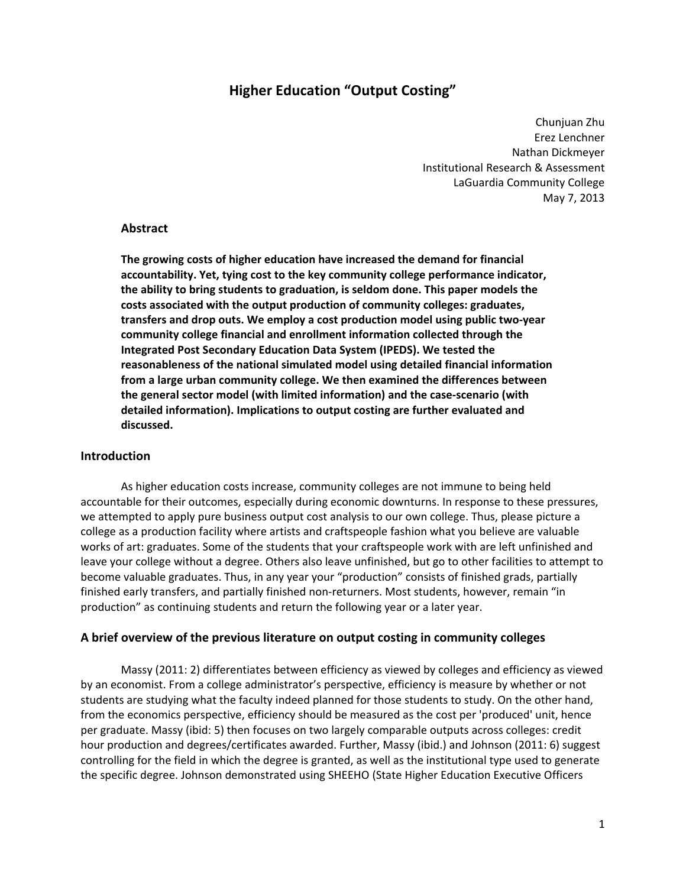# **Higher Education "Output Costing"**

 Chunjuan Zhu Erez Lenchner Nathan Dickmeyer Institutional Research & Assessment LaGuardia Community College May 7, 2013

# **Abstract**

 **The growing costs of higher education have increased the demand for financial accountability. Yet, tying cost to the key community college performance indicator, the ability to bring students to graduation, is seldom done. This paper models the costs associated with the output production of community colleges: graduates,** transfers and drop outs. We employ a cost production model using public two-year  **community college financial and enrollment information collected through the Integrated Post Secondary Education Data System (IPEDS). We tested the reasonableness of the national simulated model using detailed financial information from a large urban community college. We then examined the differences between the general sector model (with limited information) and the case‐scenario (with detailed information). Implications to output costing are further evaluated and discussed.**

### **Introduction**

 As higher education costs increase, community colleges are not immune to being held accountable for their outcomes, especially during economic downturns. In response to these pressures, we attempted to apply pure business output cost analysis to our own college. Thus, please picture a college as a production facility where artists and craftspeople fashion what you believe are valuable works of art: graduates. Some of the students that your craftspeople work with are left unfinished and leave your college without a degree. Others also leave unfinished, but go to other facilities to attempt to become valuable graduates. Thus, in any year your "production" consists of finished grads, partially finished early transfers, and partially finished non‐returners. Most students, however, remain "in production" as continuing students and return the following year or a later year.

# **A brief overview of the previous literature on output costing in community colleges**

 Massy (2011: 2) differentiates between efficiency as viewed by colleges and efficiency as viewed by an economist. From a college administrator's perspective, efficiency is measure by whether or not students are studying what the faculty indeed planned for those students to study. On the other hand, from the economics perspective, efficiency should be measured as the cost per 'produced' unit, hence per graduate. Massy (ibid: 5) then focuses on two largely comparable outputs across colleges: credit hour production and degrees/certificates awarded. Further, Massy (ibid.) and Johnson (2011: 6) suggest controlling for the field in which the degree is granted, as well as the institutional type used to generate the specific degree. Johnson demonstrated using SHEEHO (State Higher Education Executive Officers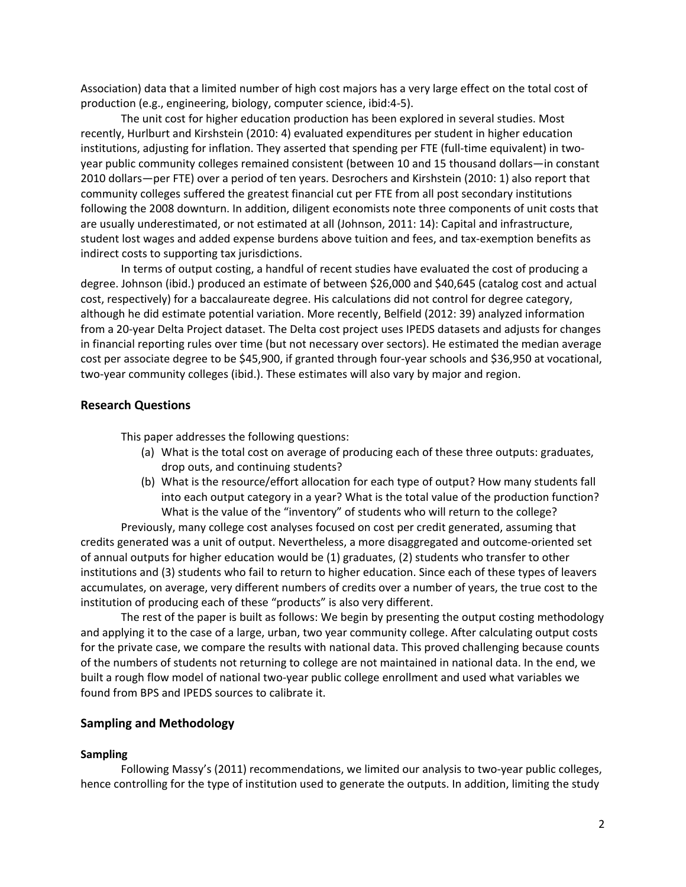Association) data that a limited number of high cost majors has a very large effect on the total cost of production (e.g., engineering, biology, computer science, ibid:4‐5).

 The unit cost for higher education production has been explored in several studies. Most recently, Hurlburt and Kirshstein (2010: 4) evaluated expenditures per student in higher education institutions, adjusting for inflation. They asserted that spending per FTE (full‐time equivalent) in two‐ year public community colleges remained consistent (between 10 and 15 thousand dollars—in constant 2010 dollars—per FTE) over a period of ten years. Desrochers and Kirshstein (2010: 1) also report that community colleges suffered the greatest financial cut per FTE from all post secondary institutions following the 2008 downturn. In addition, diligent economists note three components of unit costs that are usually underestimated, or not estimated at all (Johnson, 2011: 14): Capital and infrastructure, student lost wages and added expense burdens above tuition and fees, and tax‐exemption benefits as indirect costs to supporting tax jurisdictions.

 In terms of output costing, a handful of recent studies have evaluated the cost of producing a degree. Johnson (ibid.) produced an estimate of between \$26,000 and \$40,645 (catalog cost and actual cost, respectively) for a baccalaureate degree. His calculations did not control for degree category, although he did estimate potential variation. More recently, Belfield (2012: 39) analyzed information from a 20‐year Delta Project dataset. The Delta cost project uses IPEDS datasets and adjusts for changes in financial reporting rules over time (but not necessary over sectors). He estimated the median average cost per associate degree to be \$45,900, if granted through four‐year schools and \$36,950 at vocational, two‐year community colleges (ibid.). These estimates will also vary by major and region.

# **Research Questions**

This paper addresses the following questions:

- (a) What is the total cost on average of producing each of these three outputs: graduates, drop outs, and continuing students?
- (b) What is the resource/effort allocation for each type of output? How many students fall into each output category in a year? What is the total value of the production function? What is the value of the "inventory" of students who will return to the college?

 Previously, many college cost analyses focused on cost per credit generated, assuming that credits generated was a unit of output. Nevertheless, a more disaggregated and outcome‐oriented set of annual outputs for higher education would be (1) graduates, (2) students who transfer to other institutions and (3) students who fail to return to higher education. Since each of these types of leavers accumulates, on average, very different numbers of credits over a number of years, the true cost to the institution of producing each of these "products" is also very different.

 The rest of the paper is built as follows: We begin by presenting the output costing methodology and applying it to the case of a large, urban, two year community college. After calculating output costs for the private case, we compare the results with national data. This proved challenging because counts of the numbers of students not returning to college are not maintained in national data. In the end, we built a rough flow model of national two‐year public college enrollment and used what variables we found from BPS and IPEDS sources to calibrate it.

## **Sampling and Methodology**

### **Sampling**

 Following Massy's (2011) recommendations, we limited our analysis to two‐year public colleges, hence controlling for the type of institution used to generate the outputs. In addition, limiting the study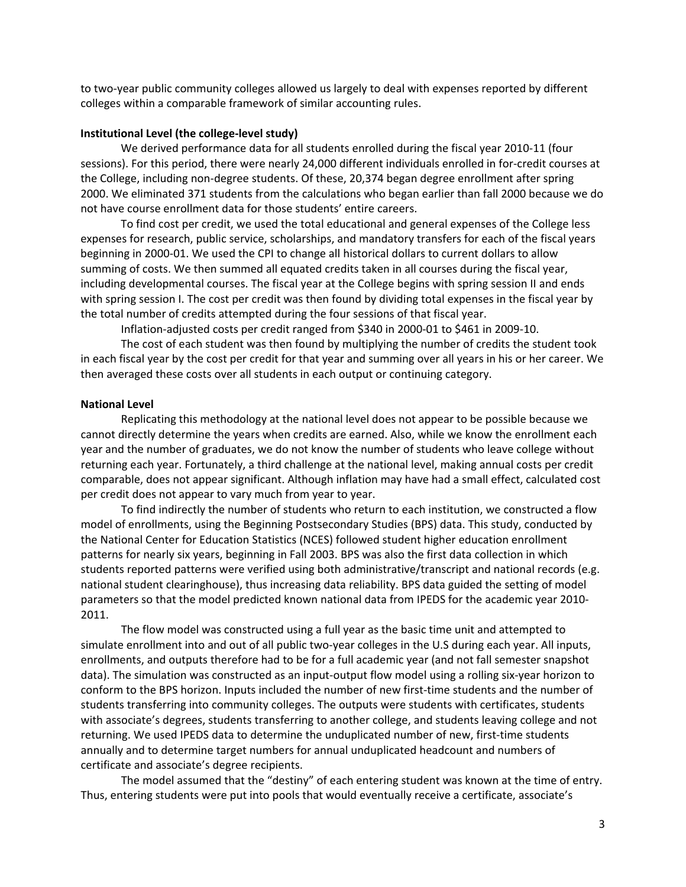to two‐year public community colleges allowed us largely to deal with expenses reported by different colleges within a comparable framework of similar accounting rules.

### **Institutional Level (the college‐level study)**

 We derived performance data for all students enrolled during the fiscal year 2010‐11 (four sessions). For this period, there were nearly 24,000 different individuals enrolled in for‐credit courses at the College, including non‐degree students. Of these, 20,374 began degree enrollment after spring 2000. We eliminated 371 students from the calculations who began earlier than fall 2000 because we do not have course enrollment data for those students' entire careers.

 To find cost per credit, we used the total educational and general expenses of the College less expenses for research, public service, scholarships, and mandatory transfers for each of the fiscal years beginning in 2000‐01. We used the CPI to change all historical dollars to current dollars to allow summing of costs. We then summed all equated credits taken in all courses during the fiscal year, including developmental courses. The fiscal year at the College begins with spring session II and ends with spring session I. The cost per credit was then found by dividing total expenses in the fiscal year by the total number of credits attempted during the four sessions of that fiscal year.

Inflation‐adjusted costs per credit ranged from \$340 in 2000‐01 to \$461 in 2009‐10.

 The cost of each student was then found by multiplying the number of credits the student took in each fiscal year by the cost per credit for that year and summing over all years in his or her career. We then averaged these costs over all students in each output or continuing category.

#### **National Level**

 Replicating this methodology at the national level does not appear to be possible because we cannot directly determine the years when credits are earned. Also, while we know the enrollment each year and the number of graduates, we do not know the number of students who leave college without returning each year. Fortunately, a third challenge at the national level, making annual costs per credit comparable, does not appear significant. Although inflation may have had a small effect, calculated cost per credit does not appear to vary much from year to year.

 To find indirectly the number of students who return to each institution, we constructed a flow model of enrollments, using the Beginning Postsecondary Studies (BPS) data. This study, conducted by the National Center for Education Statistics (NCES) followed student higher education enrollment patterns for nearly six years, beginning in Fall 2003. BPS was also the first data collection in which students reported patterns were verified using both administrative/transcript and national records (e.g. national student clearinghouse), thus increasing data reliability. BPS data guided the setting of model parameters so that the model predicted known national data from IPEDS for the academic year 2010‐ 2011.

 The flow model was constructed using a full year as the basic time unit and attempted to simulate enrollment into and out of all public two‐year colleges in the U.S during each year. All inputs, enrollments, and outputs therefore had to be for a full academic year (and not fall semester snapshot data). The simulation was constructed as an input‐output flow model using a rolling six‐year horizon to conform to the BPS horizon. Inputs included the number of new first‐time students and the number of students transferring into community colleges. The outputs were students with certificates, students with associate's degrees, students transferring to another college, and students leaving college and not returning. We used IPEDS data to determine the unduplicated number of new, first‐time students annually and to determine target numbers for annual unduplicated headcount and numbers of certificate and associate's degree recipients.

 The model assumed that the "destiny" of each entering student was known at the time of entry. Thus, entering students were put into pools that would eventually receive a certificate, associate's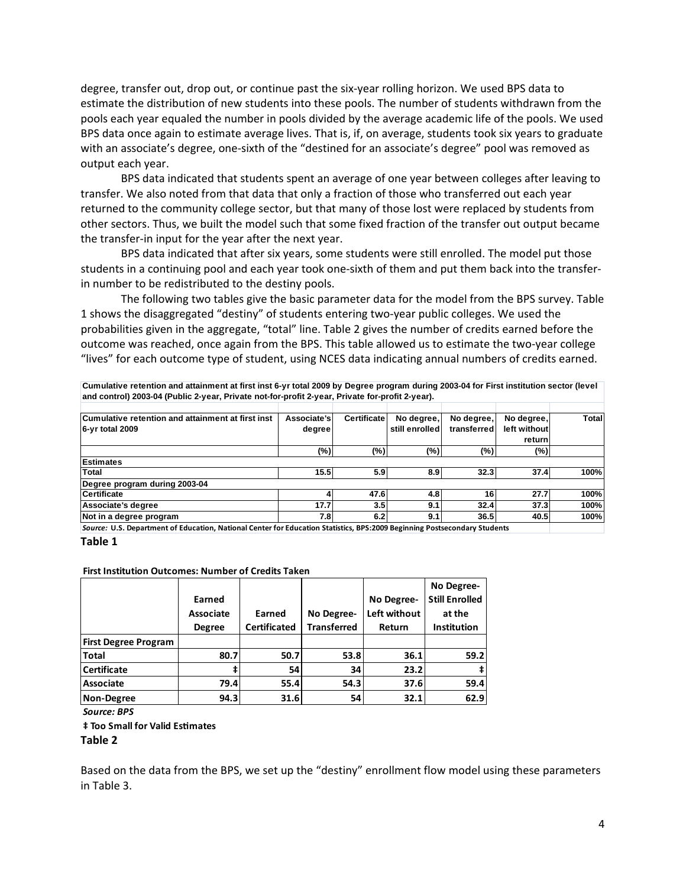degree, transfer out, drop out, or continue past the six‐year rolling horizon. We used BPS data to estimate the distribution of new students into these pools. The number of students withdrawn from the pools each year equaled the number in pools divided by the average academic life of the pools. We used BPS data once again to estimate average lives. That is, if, on average, students took six years to graduate with an associate's degree, one‐sixth of the "destined for an associate's degree" pool was removed as output each year.

 BPS data indicated that students spent an average of one year between colleges after leaving to transfer. We also noted from that data that only a fraction of those who transferred out each year returned to the community college sector, but that many of those lost were replaced by students from other sectors. Thus, we built the model such that some fixed fraction of the transfer out output became the transfer‐in input for the year after the next year.

 BPS data indicated that after six years, some students were still enrolled. The model put those students in a continuing pool and each year took one‐sixth of them and put them back into the transfer‐ in number to be redistributed to the destiny pools.

 The following two tables give the basic parameter data for the model from the BPS survey. Table 1 shows the disaggregated "destiny" of students entering two‐year public colleges. We used the probabilities given in the aggregate, "total" line. Table 2 gives the number of credits earned before the outcome was reached, once again from the BPS. This table allowed us to estimate the two‐year college "lives" for each outcome type of student, using NCES data indicating annual numbers of credits earned.

**Cumulative retention and attainment at first inst 6-yr total 2009 by Degree program during 2003-04 for First institution sector (level and control) 2003-04 (Public 2-year, Private not-for-profit 2-year, Private for-profit 2-year).** 

|                               |                                                   |                                                | No degree,                                                           |                                     | <b>Total</b>                                                                                      |  |  |
|-------------------------------|---------------------------------------------------|------------------------------------------------|----------------------------------------------------------------------|-------------------------------------|---------------------------------------------------------------------------------------------------|--|--|
|                               |                                                   |                                                |                                                                      |                                     |                                                                                                   |  |  |
|                               |                                                   |                                                |                                                                      |                                     |                                                                                                   |  |  |
|                               |                                                   |                                                |                                                                      |                                     |                                                                                                   |  |  |
|                               |                                                   |                                                |                                                                      |                                     |                                                                                                   |  |  |
|                               |                                                   |                                                | 32.3                                                                 |                                     | 100%                                                                                              |  |  |
| Degree program during 2003-04 |                                                   |                                                |                                                                      |                                     |                                                                                                   |  |  |
|                               |                                                   |                                                | 16 <sub>1</sub>                                                      |                                     | 100%                                                                                              |  |  |
| 17.7                          |                                                   | 9.1                                            | 32.4                                                                 |                                     | 100%                                                                                              |  |  |
|                               |                                                   | 9.1                                            | 36.5                                                                 |                                     | 100%                                                                                              |  |  |
|                               | Cumulative retention and attainment at first inst | Associate's<br>degree<br>$(\%)$<br>15.5<br>7.8 | <b>Certificate</b><br>(%)<br>5.9<br>8.9<br>47.6<br>4.8<br>3.5<br>6.2 | No degree,<br>still enrolled<br>(%) | No degree,<br>left without<br>transferred<br>return<br>(%)<br>(%)<br>37.4<br>27.7<br>37.3<br>40.5 |  |  |

Source: U.S. Department of Education, National Center for Education Statistics, BPS:2009 Beginning Postsecondary Students

#### **Table 1**

#### **First Institution Outcomes: Number of Credits Taken**

|                             |                  |                     |                    |              | No Degree-            |
|-----------------------------|------------------|---------------------|--------------------|--------------|-----------------------|
|                             | Earned           |                     |                    | No Degree-   | <b>Still Enrolled</b> |
|                             | <b>Associate</b> | Earned              | No Degree-         | Left without | at the                |
|                             | <b>Degree</b>    | <b>Certificated</b> | <b>Transferred</b> | Return       | <b>Institution</b>    |
| <b>First Degree Program</b> |                  |                     |                    |              |                       |
| <b>Total</b>                | 80.7             | 50.7                | 53.8               | 36.1         | 59.2                  |
| <b>Certificate</b>          | ŧ                | 54                  | 34                 | 23.2         |                       |
| Associate                   | 79.4             | 55.4                | 54.3               | 37.6         | 59.4                  |
| Non-Degree                  | 94.3             | 31.6                | 54                 | 32.1         | 62.9                  |

*Source: BPS*

 **‡ Too Small for Valid EsƟmates**

 **Table 2**

 Based on the data from the BPS, we set up the "destiny" enrollment flow model using these parameters in Table 3.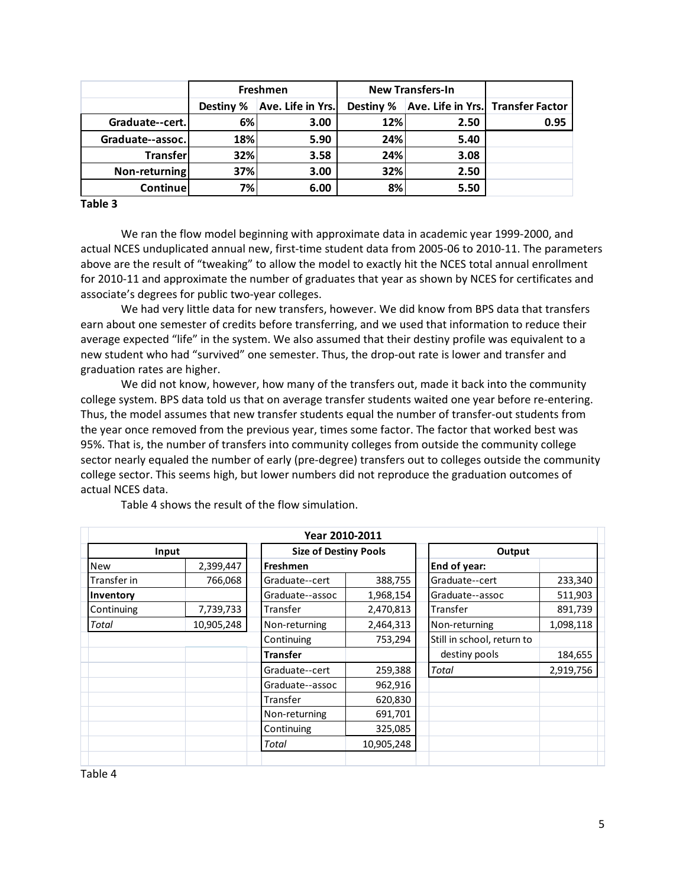|                  | <b>Freshmen</b> |                   | <b>New Transfers-In</b> |      |                                   |
|------------------|-----------------|-------------------|-------------------------|------|-----------------------------------|
|                  | Destiny %       | Ave. Life in Yrs. | Destiny %               |      | Ave. Life in Yrs. Transfer Factor |
| Graduate--cert.  | 6%              | 3.00              | 12%                     | 2.50 | 0.95                              |
| Graduate--assoc. | 18%             | 5.90              | 24%                     | 5.40 |                                   |
| Transfer         | 32%             | 3.58              | 24%                     | 3.08 |                                   |
| Non-returning    | 37%             | 3.00              | 32%                     | 2.50 |                                   |
| <b>Continue</b>  | 7%              | 6.00              | 8%                      | 5.50 |                                   |

 **Table 3**

 We ran the flow model beginning with approximate data in academic year 1999‐2000, and actual NCES unduplicated annual new, first‐time student data from 2005‐06 to 2010‐11. The parameters above are the result of "tweaking" to allow the model to exactly hit the NCES total annual enrollment for 2010‐11 and approximate the number of graduates that year as shown by NCES for certificates and associate's degrees for public two‐year colleges.

 We had very little data for new transfers, however. We did know from BPS data that transfers earn about one semester of credits before transferring, and we used that information to reduce their average expected "life" in the system. We also assumed that their destiny profile was equivalent to a new student who had "survived" one semester. Thus, the drop‐out rate is lower and transfer and graduation rates are higher.

 We did not know, however, how many of the transfers out, made it back into the community college system. BPS data told us that on average transfer students waited one year before re‐entering. Thus, the model assumes that new transfer students equal the number of transfer‐out students from the year once removed from the previous year, times some factor. The factor that worked best was 95%. That is, the number of transfers into community colleges from outside the community college sector nearly equaled the number of early (pre‐degree) transfers out to colleges outside the community college sector. This seems high, but lower numbers did not reproduce the graduation outcomes of actual NCES data.

| Year 2010-2011 |            |                              |            |                            |           |  |
|----------------|------------|------------------------------|------------|----------------------------|-----------|--|
| Input          |            | <b>Size of Destiny Pools</b> |            | Output                     |           |  |
| <b>New</b>     | 2,399,447  | <b>Freshmen</b>              |            | End of year:               |           |  |
| Transfer in    | 766,068    | Graduate--cert               | 388,755    | Graduate--cert             | 233,340   |  |
| Inventory      |            | Graduate--assoc              | 1,968,154  | Graduate--assoc            | 511,903   |  |
| Continuing     | 7,739,733  | Transfer                     | 2,470,813  | Transfer                   | 891,739   |  |
| Total          | 10,905,248 | Non-returning                | 2,464,313  | Non-returning              | 1,098,118 |  |
|                |            | Continuing                   | 753,294    | Still in school, return to |           |  |
|                |            | <b>Transfer</b>              |            | destiny pools              | 184,655   |  |
|                |            | Graduate--cert               | 259,388    | <b>Total</b>               | 2,919,756 |  |
|                |            | Graduate--assoc              | 962,916    |                            |           |  |
|                |            | Transfer                     | 620,830    |                            |           |  |
|                |            | Non-returning                | 691,701    |                            |           |  |
|                |            | Continuing                   | 325,085    |                            |           |  |
|                |            | Total                        | 10,905,248 |                            |           |  |
|                |            |                              |            |                            |           |  |

Table 4 shows the result of the flow simulation.

Table 4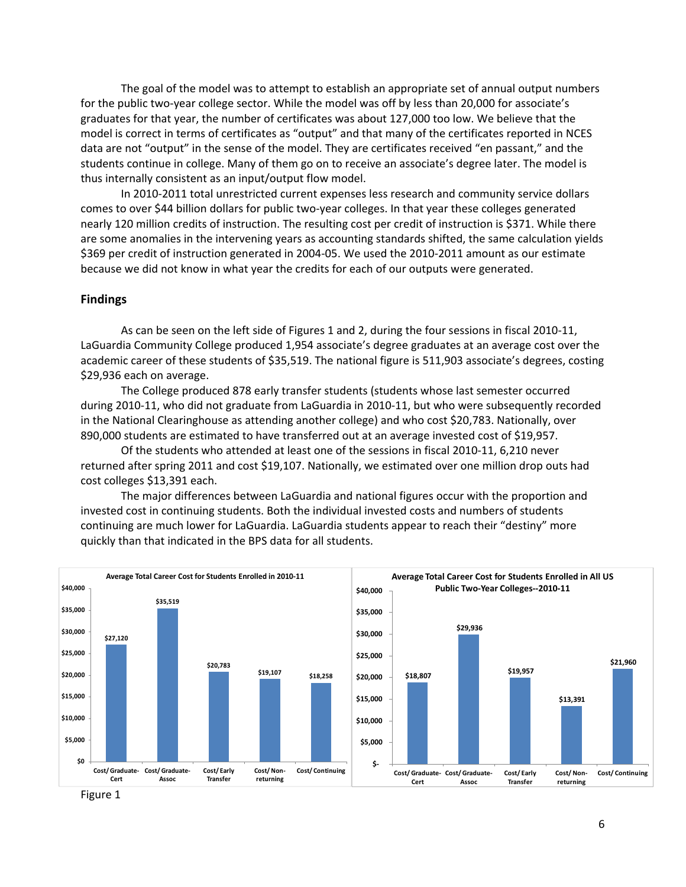The goal of the model was to attempt to establish an appropriate set of annual output numbers for the public two‐year college sector. While the model was off by less than 20,000 for associate's graduates for that year, the number of certificates was about 127,000 too low. We believe that the model is correct in terms of certificates as "output" and that many of the certificates reported in NCES data are not "output" in the sense of the model. They are certificates received "en passant," and the students continue in college. Many of them go on to receive an associate's degree later. The model is thus internally consistent as an input/output flow model.

In 2010‐2011 total unrestricted current expenses less research and community service dollars comes to over \$44 billion dollars for public two‐year colleges. In that year these colleges generated nearly 120 million credits of instruction. The resulting cost per credit of instruction is \$371. While there are some anomalies in the intervening years as accounting standards shifted, the same calculation yields \$369 per credit of instruction generated in 2004‐05. We used the 2010‐2011 amount as our estimate because we did not know in what year the credits for each of our outputs were generated.

### **Findings**

As can be seen on the left side of Figures 1 and 2, during the four sessions in fiscal 2010‐11, LaGuardia Community College produced 1,954 associate's degree graduates at an average cost over the academic career of these students of \$35,519. The national figure is 511,903 associate's degrees, costing \$29,936 each on average.

The College produced 878 early transfer students (students whose last semester occurred during 2010‐11, who did not graduate from LaGuardia in 2010‐11, but who were subsequently recorded in the National Clearinghouse as attending another college) and who cost \$20,783. Nationally, over 890,000 students are estimated to have transferred out at an average invested cost of \$19,957.

Of the students who attended at least one of the sessions in fiscal 2010‐11, 6,210 never returned after spring 2011 and cost \$19,107. Nationally, we estimated over one million drop outs had cost colleges \$13,391 each.

The major differences between LaGuardia and national figures occur with the proportion and invested cost in continuing students. Both the individual invested costs and numbers of students continuing are much lower for LaGuardia. LaGuardia students appear to reach their "destiny" more quickly than that indicated in the BPS data for all students.



Figure 1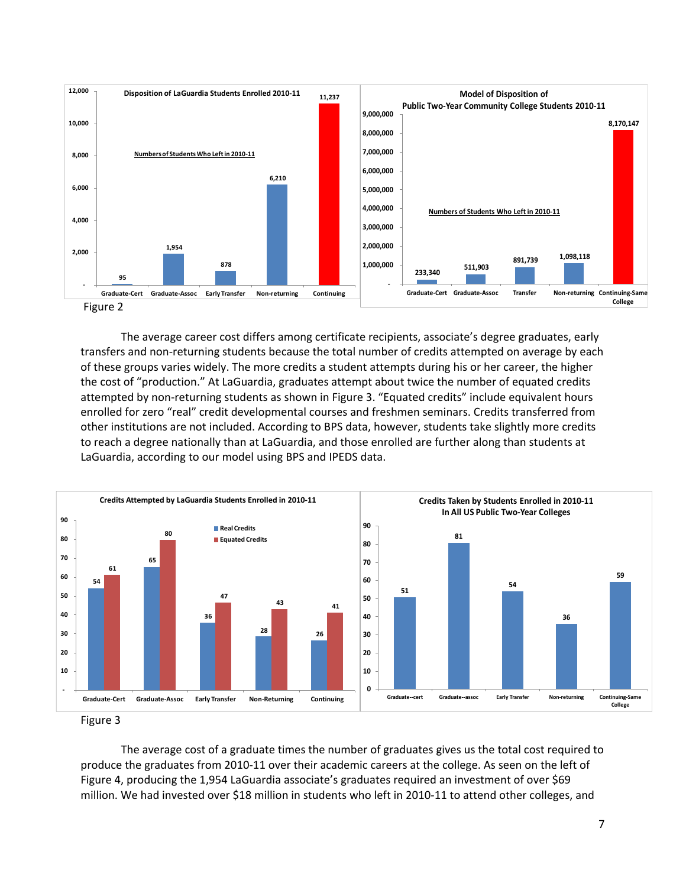

 The average career cost differs among certificate recipients, associate's degree graduates, early transfers and non‐returning students because the total number of credits attempted on average by each of these groups varies widely. The more credits a student attempts during his or her career, the higher the cost of "production." At LaGuardia, graduates attempt about twice the number of equated credits attempted by non‐returning students as shown in Figure 3. "Equated credits" include equivalent hours enrolled for zero "real" credit developmental courses and freshmen seminars. Credits transferred from other institutions are not included. According to BPS data, however, students take slightly more credits to reach a degree nationally than at LaGuardia, and those enrolled are further along than students at LaGuardia, according to our model using BPS and IPEDS data.



 The average cost of a graduate times the number of graduates gives us the total cost required to produce the graduates from 2010‐11 over their academic careers at the college. As seen on the left of Figure 4, producing the 1,954 LaGuardia associate's graduates required an investment of over \$69 million. We had invested over \$18 million in students who left in 2010‐11 to attend other colleges, and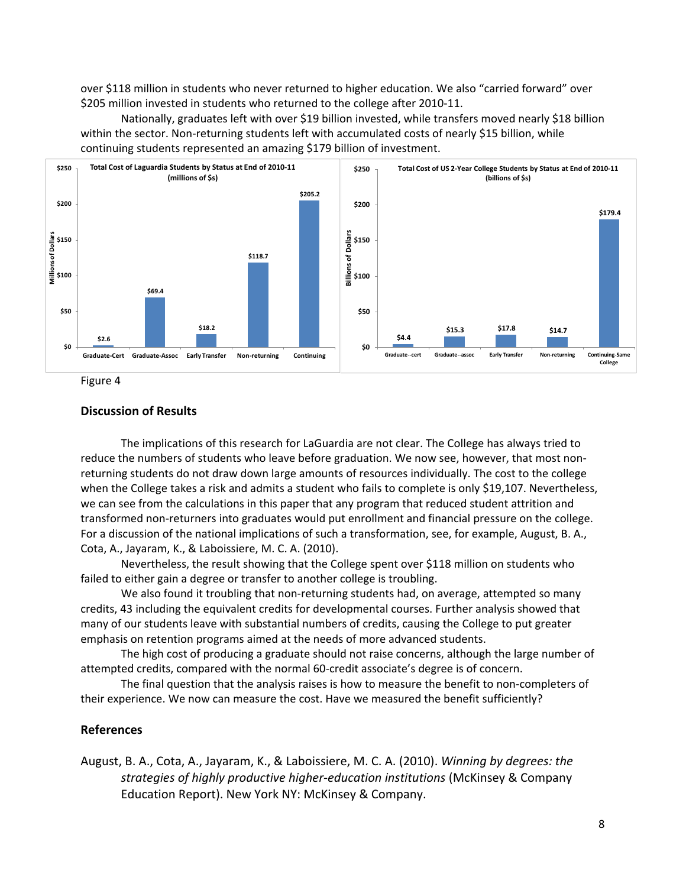over \$118 million in students who never returned to higher education. We also "carried forward" over \$205 million invested in students who returned to the college after 2010‐11.

Nationally, graduates left with over \$19 billion invested, while transfers moved nearly \$18 billion within the sector. Non‐returning students left with accumulated costs of nearly \$15 billion, while continuing students represented an amazing \$179 billion of investment.



Figure 4

## **Discussion of Results**

 The implications of this research for LaGuardia are not clear. The College has always tried to reduce the numbers of students who leave before graduation. We now see, however, that most non‐ returning students do not draw down large amounts of resources individually. The cost to the college when the College takes a risk and admits a student who fails to complete is only \$19,107. Nevertheless, we can see from the calculations in this paper that any program that reduced student attrition and transformed non‐returners into graduates would put enrollment and financial pressure on the college. For a discussion of the national implications of such a transformation, see, for example, August, B. A., Cota, A., Jayaram, K., & Laboissiere, M. C. A. (2010).

 Nevertheless, the result showing that the College spent over \$118 million on students who failed to either gain a degree or transfer to another college is troubling.

We also found it troubling that non-returning students had, on average, attempted so many credits, 43 including the equivalent credits for developmental courses. Further analysis showed that many of our students leave with substantial numbers of credits, causing the College to put greater emphasis on retention programs aimed at the needs of more advanced students.

 The high cost of producing a graduate should not raise concerns, although the large number of attempted credits, compared with the normal 60‐credit associate's degree is of concern.

 The final question that the analysis raises is how to measure the benefit to non‐completers of their experience. We now can measure the cost. Have we measured the benefit sufficiently?

### **References**

  August, B. A., Cota, A., Jayaram, K., & Laboissiere, M. C. A. (2010). *Winning by degrees: the strategies of highly productive higher‐education institutions* (McKinsey & Company Education Report). New York NY: McKinsey & Company.